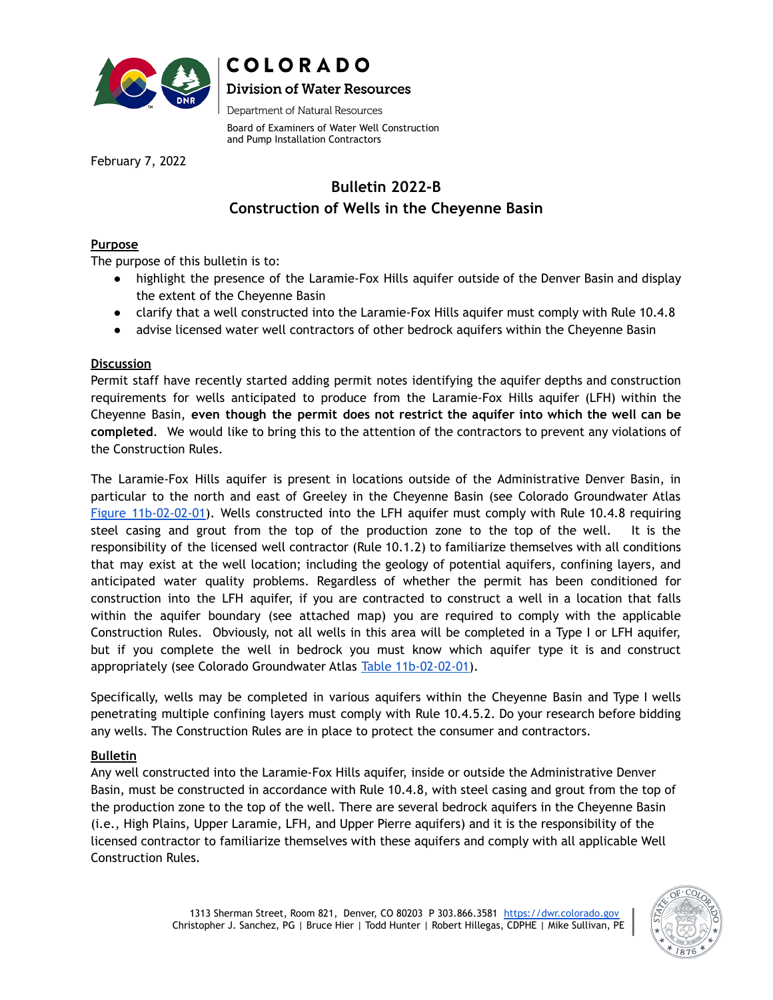

# COLORADO **Division of Water Resources**

Department of Natural Resources

Board of Examiners of Water Well Construction and Pump Installation Contractors

February 7, 2022

## **Bulletin 2022-B Construction of Wells in the Cheyenne Basin**

#### **Purpose**

The purpose of this bulletin is to:

- highlight the presence of the Laramie-Fox Hills aquifer outside of the Denver Basin and display the extent of the Cheyenne Basin
- clarify that a well constructed into the Laramie-Fox Hills aquifer must comply with Rule 10.4.8
- advise licensed water well contractors of other bedrock aquifers within the Cheyenne Basin

#### **Discussion**

Permit staff have recently started adding permit notes identifying the aquifer depths and construction requirements for wells anticipated to produce from the Laramie-Fox Hills aquifer (LFH) within the Cheyenne Basin, **even though the permit does not restrict the aquifer into which the well can be completed**. We would like to bring this to the attention of the contractors to prevent any violations of the Construction Rules.

The Laramie-Fox Hills aquifer is present in locations outside of the Administrative Denver Basin, in particular to the north and east of Greeley in the Cheyenne Basin (see Colorado Groundwater Atlas Figure [11b-02-02-01\)](https://coloradogeologicalsurvey.org/wp-content/uploads/ON-010-11b-02-02-01.pdf). Wells constructed into the LFH aquifer must comply with Rule 10.4.8 requiring steel casing and grout from the top of the production zone to the top of the well. It is the responsibility of the licensed well contractor (Rule 10.1.2) to familiarize themselves with all conditions that may exist at the well location; including the geology of potential aquifers, confining layers, and anticipated water quality problems. Regardless of whether the permit has been conditioned for construction into the LFH aquifer, if you are contracted to construct a well in a location that falls within the aquifer boundary (see attached map) you are required to comply with the applicable Construction Rules. Obviously, not all wells in this area will be completed in a Type I or LFH aquifer, but if you complete the well in bedrock you must know which aquifer type it is and construct appropriately (see Colorado Groundwater Atlas Table [11b-02-02-01\)](https://coloradogeologicalsurvey.org/wp-content/uploads/ON-010-11b-02-02-01t.pdf).

Specifically, wells may be completed in various aquifers within the Cheyenne Basin and Type I wells penetrating multiple confining layers must comply with Rule 10.4.5.2. Do your research before bidding any wells. The Construction Rules are in place to protect the consumer and contractors.

### **Bulletin**

Any well constructed into the Laramie-Fox Hills aquifer, inside or outside the Administrative Denver Basin, must be constructed in accordance with Rule 10.4.8, with steel casing and grout from the top of the production zone to the top of the well. There are several bedrock aquifers in the Cheyenne Basin (i.e., High Plains, Upper Laramie, LFH, and Upper Pierre aquifers) and it is the responsibility of the licensed contractor to familiarize themselves with these aquifers and comply with all applicable Well Construction Rules.